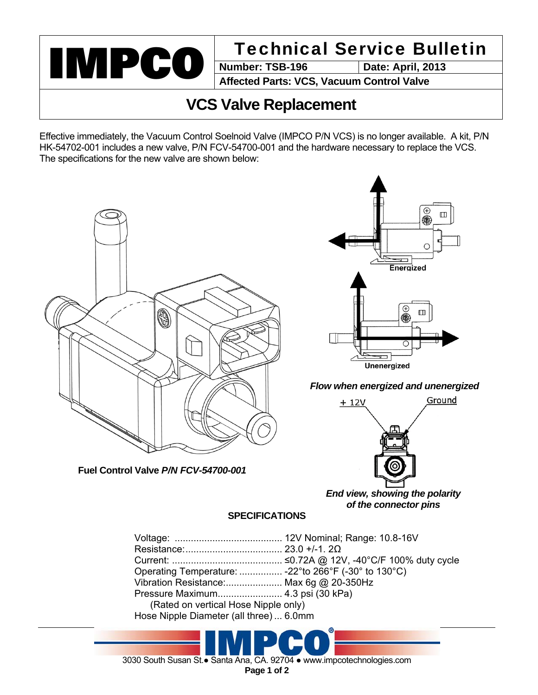

**Date: April, 2013** 

**Affected Parts: VCS, Vacuum Control Valve** 

## **VCS Valve Replacement**

Effective immediately, the Vacuum Control Soelnoid Valve (IMPCO P/N VCS) is no longer available. A kit, P/N HK-54702-001 includes a new valve, P/N FCV-54700-001 and the hardware necessary to replace the VCS. The specifications for the new valve are shown below:



*End view, showing the polarity of the connector pins* 

## **SPECIFICATIONS**

| Operating Temperature:  -22° to 266°F (-30° to 130°C) |  |
|-------------------------------------------------------|--|
| Vibration Resistance: Max 6g @ 20-350Hz               |  |
| Pressure Maximum 4.3 psi (30 kPa)                     |  |
| (Rated on vertical Hose Nipple only)                  |  |
| Hose Nipple Diameter (all three)  6.0mm               |  |
|                                                       |  |

3030 South Susan St.● Santa Ana, CA. 92704 ● www.impcotechnologies.com

**Page 1 of 2**